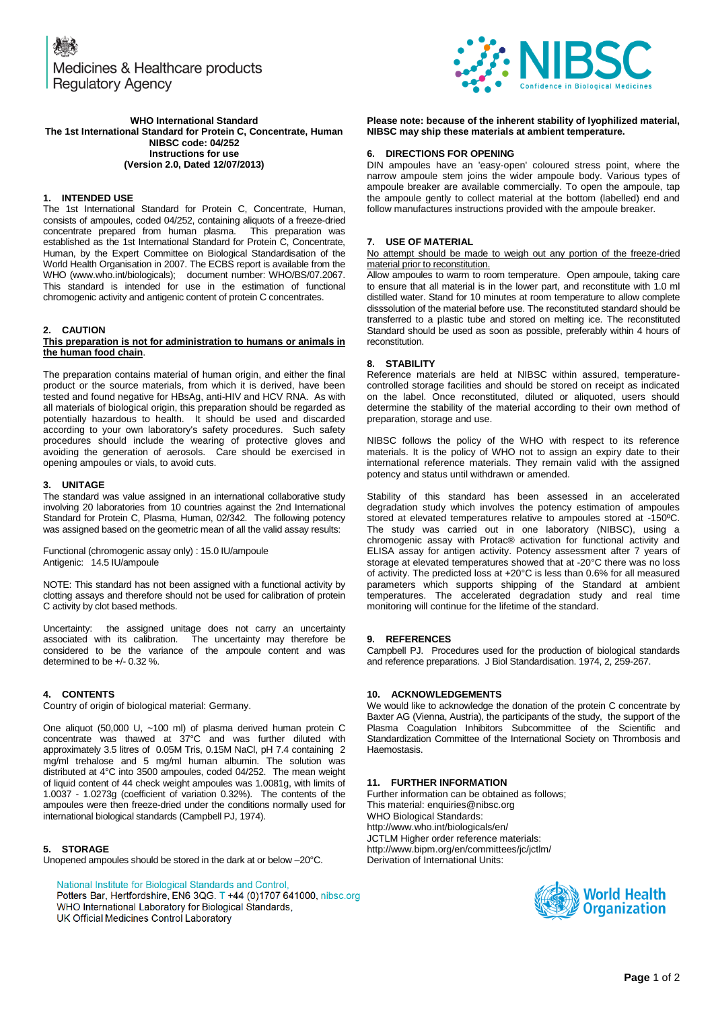Medicines & Healthcare products **Regulatory Agency** 



#### **WHO International Standard The 1st International Standard for Protein C, Concentrate, Human NIBSC code: 04/252 Instructions for use (Version 2.0, Dated 12/07/2013)**

## **1. INTENDED USE**

The 1st International Standard for Protein C, Concentrate, Human, consists of ampoules, coded 04/252, containing aliquots of a freeze-dried concentrate prepared from human plasma. This preparation was established as the 1st International Standard for Protein C, Concentrate, Human, by the Expert Committee on Biological Standardisation of the World Health Organisation in 2007. The ECBS report is available from the WHO (www.who.int/biologicals); document number: WHO/BS/07.2067. This standard is intended for use in the estimation of functional chromogenic activity and antigenic content of protein C concentrates.

# **2. CAUTION**

#### **This preparation is not for administration to humans or animals in the human food chain**.

The preparation contains material of human origin, and either the final product or the source materials, from which it is derived, have been tested and found negative for HBsAg, anti-HIV and HCV RNA. As with all materials of biological origin, this preparation should be regarded as potentially hazardous to health. It should be used and discarded according to your own laboratory's safety procedures. Such safety procedures should include the wearing of protective gloves and avoiding the generation of aerosols. Care should be exercised in opening ampoules or vials, to avoid cuts.

## **3. UNITAGE**

The standard was value assigned in an international collaborative study involving 20 laboratories from 10 countries against the 2nd International Standard for Protein C, Plasma, Human, 02/342. The following potency was assigned based on the geometric mean of all the valid assay results:

Functional (chromogenic assay only) : 15.0 IU/ampoule Antigenic: 14.5 IU/ampoule

NOTE: This standard has not been assigned with a functional activity by clotting assays and therefore should not be used for calibration of protein C activity by clot based methods.

Uncertainty: the assigned unitage does not carry an uncertainty associated with its calibration. The uncertainty may therefore be The uncertainty may therefore be considered to be the variance of the ampoule content and was determined to be +/- 0.32 %.

## **4. CONTENTS**

Country of origin of biological material: Germany.

One aliquot (50,000 U, ~100 ml) of plasma derived human protein C concentrate was thawed at 37°C and was further diluted with approximately 3.5 litres of 0.05M Tris, 0.15M NaCl, pH 7.4 containing 2 mg/ml trehalose and 5 mg/ml human albumin. The solution was distributed at 4°C into 3500 ampoules, coded 04/252. The mean weight of liquid content of 44 check weight ampoules was 1.0081g, with limits of 1.0037 - 1.0273g (coefficient of variation 0.32%). The contents of the ampoules were then freeze-dried under the conditions normally used for international biological standards (Campbell PJ, 1974).

# **5. STORAGE**

Unopened ampoules should be stored in the dark at or below –20°C.

National Institute for Biological Standards and Control, Potters Bar, Hertfordshire, EN6 3QG. T +44 (0)1707 641000, nibsc.org WHO International Laboratory for Biological Standards,

UK Official Medicines Control Laboratory

**Please note: because of the inherent stability of lyophilized material, NIBSC may ship these materials at ambient temperature.**

## **6. DIRECTIONS FOR OPENING**

DIN ampoules have an 'easy-open' coloured stress point, where the narrow ampoule stem joins the wider ampoule body. Various types of ampoule breaker are available commercially. To open the ampoule, tap the ampoule gently to collect material at the bottom (labelled) end and follow manufactures instructions provided with the ampoule breaker.

# **7. USE OF MATERIAL**

No attempt should be made to weigh out any portion of the freeze-dried material prior to reconstitution.

Allow ampoules to warm to room temperature. Open ampoule, taking care to ensure that all material is in the lower part, and reconstitute with 1.0 ml distilled water. Stand for 10 minutes at room temperature to allow complete disssolution of the material before use. The reconstituted standard should be transferred to a plastic tube and stored on melting ice. The reconstituted Standard should be used as soon as possible, preferably within 4 hours of reconstitution.

# **8. STABILITY**

Reference materials are held at NIBSC within assured, temperaturecontrolled storage facilities and should be stored on receipt as indicated on the label. Once reconstituted, diluted or aliquoted, users should determine the stability of the material according to their own method of preparation, storage and use.

NIBSC follows the policy of the WHO with respect to its reference materials. It is the policy of WHO not to assign an expiry date to their international reference materials. They remain valid with the assigned potency and status until withdrawn or amended.

Stability of this standard has been assessed in an accelerated degradation study which involves the potency estimation of ampoules stored at elevated temperatures relative to ampoules stored at -150ºC. The study was carried out in one laboratory (NIBSC), using a chromogenic assay with Protac® activation for functional activity and ELISA assay for antigen activity. Potency assessment after 7 years of storage at elevated temperatures showed that at -20°C there was no loss of activity. The predicted loss at +20°C is less than 0.6% for all measured parameters which supports shipping of the Standard at ambient temperatures. The accelerated degradation study and real time monitoring will continue for the lifetime of the standard.

## **9. REFERENCES**

Campbell PJ. Procedures used for the production of biological standards and reference preparations. J Biol Standardisation. 1974, 2, 259-267.

# **10. ACKNOWLEDGEMENTS**

We would like to acknowledge the donation of the protein C concentrate by Baxter AG (Vienna, Austria), the participants of the study, the support of the Plasma Coagulation Inhibitors Subcommittee of the Scientific and Standardization Committee of the International Society on Thrombosis and Haemostasis.

## **11. FURTHER INFORMATION**

Further information can be obtained as follows; This material[: enquiries@nibsc.org](mailto:enquiries@nibsc.org) WHO Biological Standards: <http://www.who.int/biologicals/en/> JCTLM Higher order reference materials: <http://www.bipm.org/en/committees/jc/jctlm/> Derivation of International Units: